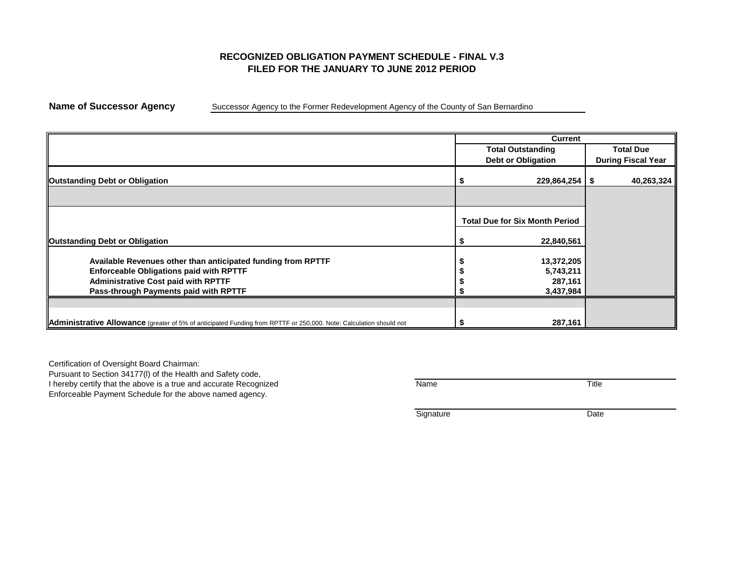## **RECOGNIZED OBLIGATION PAYMENT SCHEDULE - FINAL V.3 FILED FOR THE JANUARY TO JUNE 2012 PERIOD**

**Name of Successor Agency** Successor Agency to the Former Redevelopment Agency of the County of San Bernardino

|                                                                                                                    | <b>Current</b> |                                       |                           |                  |  |  |  |
|--------------------------------------------------------------------------------------------------------------------|----------------|---------------------------------------|---------------------------|------------------|--|--|--|
|                                                                                                                    |                | <b>Total Outstanding</b>              |                           | <b>Total Due</b> |  |  |  |
|                                                                                                                    |                | <b>Debt or Obligation</b>             | <b>During Fiscal Year</b> |                  |  |  |  |
| <b>Outstanding Debt or Obligation</b>                                                                              |                | $229,864,254$   \$                    |                           | 40,263,324       |  |  |  |
|                                                                                                                    |                |                                       |                           |                  |  |  |  |
|                                                                                                                    |                | <b>Total Due for Six Month Period</b> |                           |                  |  |  |  |
| <b>Outstanding Debt or Obligation</b>                                                                              |                | 22,840,561                            |                           |                  |  |  |  |
| Available Revenues other than anticipated funding from RPTTF                                                       |                | 13,372,205                            |                           |                  |  |  |  |
| <b>Enforceable Obligations paid with RPTTF</b><br><b>Administrative Cost paid with RPTTF</b>                       |                | 5,743,211<br>287,161                  |                           |                  |  |  |  |
| Pass-through Payments paid with RPTTF                                                                              |                | 3,437,984                             |                           |                  |  |  |  |
|                                                                                                                    |                |                                       |                           |                  |  |  |  |
| Administrative Allowance (greater of 5% of anticipated Funding from RPTTF or 250,000. Note: Calculation should not |                | 287,161                               |                           |                  |  |  |  |

Certification of Oversight Board Chairman: Pursuant to Section 34177(l) of the Health and Safety code, I hereby certify that the above is a true and accurate Recognized Name Name Name Title

Enforceable Payment Schedule for the above named agency.

Signature Date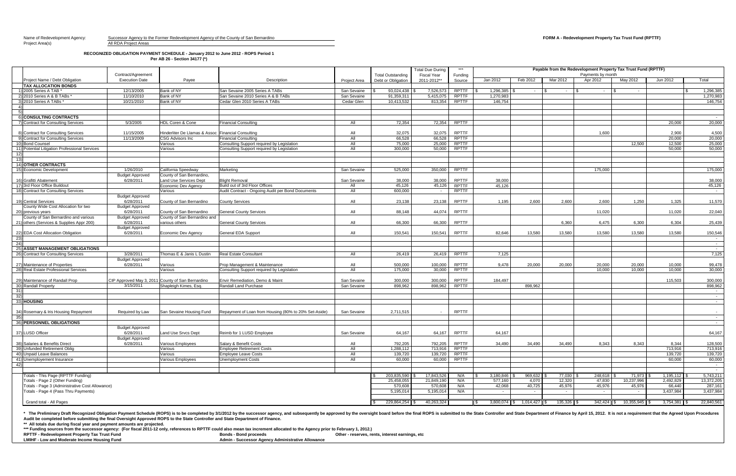# Name of Redevelopment Agency: Successor Agency to the Former Redevelopment Agency of the County of San Bernardino **FORM A - Redevelopment Property Tax Trust Fund (RPTTF)**

### **RECOGNIZED OBLIGATION PAYMENT SCHEDULE - January 2012 to June 2012 - ROPS Period 1 Per AB 26 - Section 34177 (\*)**

\* The Preliminary Draft Recognized Obligation Payment Schedule (ROPS) is to be completed by 3/1/2012 by the successor agency, and subsequently be approved by the State Controller and State Department of Finance by April 15 **Audit be completed before submitting the final Oversight Approved ROPS to the State Controller and State Department of Finance.**

|                                                                       | Contract/Agreement                  |                                                    |                                                                                          |                     |                                                | <b>Total Due During</b><br><b>Fiscal Year</b> | $***$                        | Payable from the Redevelopment Property Tax Trust Fund (RPTTF)<br>Payments by month |                             |                  |                   |                            |                        |                          |
|-----------------------------------------------------------------------|-------------------------------------|----------------------------------------------------|------------------------------------------------------------------------------------------|---------------------|------------------------------------------------|-----------------------------------------------|------------------------------|-------------------------------------------------------------------------------------|-----------------------------|------------------|-------------------|----------------------------|------------------------|--------------------------|
| Project Name / Debt Obligation                                        | <b>Execution Date</b>               | Payee                                              | Description                                                                              | <b>Project Area</b> | <b>Total Outstanding</b><br>Debt or Obligation | 2011-2012**                                   | Funding<br>Source            | Jan 2012                                                                            | Feb 2012                    | Mar 2012         | Apr 2012          | May 2012                   | Jun 2012               | Total                    |
| <b>TAX ALLOCATION BONDS</b>                                           |                                     |                                                    |                                                                                          |                     |                                                |                                               |                              |                                                                                     |                             |                  |                   |                            |                        |                          |
| 1) 2005 Series A TAB *                                                | 12/13/2005                          | Bank of NY                                         | San Sevaine 2005 Series A TABs                                                           | San Sevaine         | 93,024,438                                     | 7,526,573                                     | <b>RPTTF</b>                 | $1,296,385$ $\mid$                                                                  |                             | $\sim$ 100 $\mu$ | $\sim$ 100 $\mu$  | $\sim 100$                 |                        | 1,296,385                |
| 2) 2010 Series A & B TABs *                                           | 11/10/2010                          | <b>Bank of NY</b>                                  | San Sevaine 2010 Series A & B TABs                                                       | San Sevaine         | 91,359,311                                     | 5,415,075                                     | <b>RPTTF</b>                 | 1,270,983                                                                           |                             |                  |                   |                            |                        | 1,270,983                |
| 3) 2010 Series A TABs *                                               | 10/21/2010                          | <b>Bank of NY</b>                                  | Cedar Glen 2010 Series A TABs                                                            | Cedar Glen          | 10,413,532                                     | 813,354                                       | <b>RPTTF</b>                 | 146,754                                                                             |                             |                  |                   |                            |                        | 146,754                  |
|                                                                       |                                     |                                                    |                                                                                          |                     |                                                |                                               |                              |                                                                                     |                             |                  |                   |                            |                        |                          |
|                                                                       |                                     |                                                    |                                                                                          |                     |                                                |                                               |                              |                                                                                     |                             |                  |                   |                            |                        |                          |
| <b>CONSULTING CONTRACTS</b>                                           |                                     |                                                    |                                                                                          |                     |                                                |                                               |                              |                                                                                     |                             |                  |                   |                            |                        | $\sim$ $-$               |
| 7) Contract for Consulting Services                                   | 5/3/2005                            | <b>HDL Coren &amp; Cone</b>                        | <b>Financial Consulting</b>                                                              | All                 | 72,354                                         | 72,354                                        | <b>RPTTF</b>                 |                                                                                     |                             |                  |                   |                            | 20,000                 | 20,000                   |
|                                                                       |                                     |                                                    |                                                                                          |                     |                                                |                                               |                              |                                                                                     |                             |                  |                   |                            |                        |                          |
| 8) Contract for Consulting Services                                   | 11/15/2005                          | Hinderliter De Llamas & Assoc Financial Consulting |                                                                                          | All                 | 32,075                                         | 32,075                                        | <b>RPTTF</b>                 |                                                                                     |                             |                  | 1,600             |                            | 2,900                  | 4,500                    |
| 9) Contract for Consulting Services<br>10) Bond Counsel               | 11/13/2009                          | <b>CSG Advisors Inc</b>                            | <b>Financial Consulting</b>                                                              | All<br>All          | 66,528                                         | 66,528<br>25,000                              | <b>RPTTF</b><br><b>RPTTF</b> |                                                                                     |                             |                  |                   |                            | 20,000<br>12,500       | 20,000                   |
| 11) Potential Litigation Professional Services                        |                                     | Various<br>Various                                 | Consulting Support required by Legislation<br>Consulting Support required by Legislation | All                 | 75,000<br>300,000                              | 50,000                                        | <b>RPTTF</b>                 |                                                                                     |                             |                  |                   | 12,500                     | 50,000                 | 25,000<br>50,000         |
| 12)                                                                   |                                     |                                                    |                                                                                          |                     |                                                |                                               |                              |                                                                                     |                             |                  |                   |                            |                        |                          |
| $\frac{-1}{13}$                                                       |                                     |                                                    |                                                                                          |                     |                                                |                                               |                              |                                                                                     |                             |                  |                   |                            |                        |                          |
| 14) OTHER CONTRACTS                                                   |                                     |                                                    |                                                                                          |                     |                                                |                                               |                              |                                                                                     |                             |                  |                   |                            |                        |                          |
| 15) Economic Development                                              | 1/26/2010                           | California Speedway                                | Marketing                                                                                | San Sevaine         | 525,000                                        | 350,000                                       | <b>RPTTF</b>                 |                                                                                     |                             |                  | 175,000           |                            |                        | 175,000                  |
|                                                                       | <b>Budget Approved</b>              | County of San Bernardino,                          |                                                                                          |                     |                                                |                                               |                              |                                                                                     |                             |                  |                   |                            |                        |                          |
| 16) Grafitti Abatement                                                | 6/28/2011                           | Land Use Services Dept                             | <b>Blight Removal</b>                                                                    | San Sevaine         | 38,000                                         | 38,000                                        | <b>RPTTF</b>                 | 38,000                                                                              |                             |                  |                   |                            |                        | 38,000                   |
| 17) 3rd Floor Office Buildout                                         |                                     | Economic Dev Agency                                | Build out of 3rd Floor Offices                                                           | All                 | 45,126                                         | 45,126                                        | <b>RPTTF</b>                 | 45,126                                                                              |                             |                  |                   |                            |                        | 45,126                   |
| 18) Contract for Consulting Services                                  |                                     | Various                                            | Audit Contract - Ongoing Audit per Bond Documents                                        | All                 | 600,000                                        |                                               | <b>RPTTF</b>                 |                                                                                     |                             |                  |                   |                            |                        | $\sim 10^{-11}$          |
|                                                                       | <b>Budget Approved</b>              |                                                    |                                                                                          |                     |                                                |                                               |                              |                                                                                     |                             |                  |                   |                            |                        |                          |
| 19) Central Services                                                  | 6/28/2011                           | County of San Bernardino                           | <b>County Services</b>                                                                   | All                 | 23,138                                         | 23,138                                        | <b>RPTTF</b>                 | 1,195                                                                               | 2,600                       | 2,600            | 2,600             | 1,250                      | 1,325                  | 11,570                   |
| County Wide Cost Allocation for two                                   | <b>Budget Approved</b>              |                                                    |                                                                                          |                     |                                                |                                               |                              |                                                                                     |                             |                  |                   |                            |                        |                          |
| 20) previous years                                                    | 6/28/2011                           | County of San Bernardino                           | <b>General County Services</b>                                                           | All                 | 88,148                                         | 44,074                                        | <b>RPTTF</b>                 |                                                                                     |                             |                  | 11,020            |                            | 11,020                 | 22,040                   |
| County of San Bernardino and various                                  | <b>Budget Approved</b>              | County of San Bernardino and                       |                                                                                          |                     |                                                |                                               |                              |                                                                                     |                             |                  |                   |                            |                        |                          |
| 21) others (Services & Supplies Appr 200)                             | 6/28/2011                           | various others                                     | <b>General County Services</b>                                                           | All                 | 66,300                                         | 66,300                                        | <b>RPTTF</b>                 |                                                                                     |                             | 6,360            | 6,475             | 6,300                      | 6,304                  | 25,439                   |
| 22) EDA Cost Allocation Obligation                                    | <b>Budget Approved</b><br>6/28/2011 | Economic Dev Agency                                | <b>General EDA Support</b>                                                               | All                 | 150,541                                        | 150,541                                       | <b>RPTTF</b>                 | 82,646                                                                              | 13,580                      | 13,580           | 13,580            | 13,580                     | 13,580                 |                          |
| 23)                                                                   |                                     |                                                    |                                                                                          |                     |                                                |                                               |                              |                                                                                     |                             |                  |                   |                            |                        | 150,546<br>$\sim$ $-$    |
| $\frac{1}{24}$                                                        |                                     |                                                    |                                                                                          |                     |                                                |                                               |                              |                                                                                     |                             |                  |                   |                            |                        | $\sim$ 100 $\mu$         |
| <b>25) ASSET MANAGEMENT OBLIGATIONS</b>                               |                                     |                                                    |                                                                                          |                     |                                                |                                               |                              |                                                                                     |                             |                  |                   |                            |                        | $\sim 10^{-10}$          |
| 26) Contract for Consulting Services                                  | 3/28/2011                           | Thomas E & Janis L Dustin                          | Real Estate Consultant                                                                   | All                 | 26,419                                         |                                               | 26,419 RPTTF                 | 7,125                                                                               |                             |                  |                   |                            |                        | 7,125                    |
|                                                                       | <b>Budget Approved</b>              |                                                    |                                                                                          |                     |                                                |                                               |                              |                                                                                     |                             |                  |                   |                            |                        |                          |
| 27) Maintenance of Properties                                         | 6/28/2011                           | Various                                            | Prop Management & Maintenance                                                            | All                 | 500,000                                        | 100,000                                       | <b>RPTTF</b>                 | 9,478                                                                               | 20,000                      | 20,000           | 20,000            | 20,000                     | 10,000                 | 99,478                   |
| 28) Real Estate Professional Services                                 |                                     | Various                                            | Consulting Support required by Legislation                                               | All                 | 175,000                                        | 30,000                                        | <b>RPTTF</b>                 |                                                                                     |                             |                  | 10,000            | 10,000                     | 10,000                 | 30,000                   |
|                                                                       |                                     |                                                    |                                                                                          |                     |                                                |                                               |                              |                                                                                     |                             |                  |                   |                            |                        |                          |
| 29) Maintenance of Randall Prop                                       |                                     | CIP Approved May 3, 2011 County of San Bernardino  | Envir Remediation, Demo & Maint                                                          | San Sevaine         | 300,000                                        | 300,000                                       | <b>RPTTF</b>                 | 184,497                                                                             |                             |                  |                   |                            | 115,503                | 300,000                  |
| 30) Randall Property                                                  | 3/15/2011                           | Shapleigh Kimes, Esq.                              | Randall Land Purchase                                                                    | San Sevaine         | 898,962                                        | 898,962                                       | <b>RPTTF</b>                 |                                                                                     | 898,962                     |                  |                   |                            |                        | 898,962                  |
| $\frac{1}{31}$<br>$\frac{1}{32}$                                      |                                     |                                                    |                                                                                          |                     |                                                |                                               |                              |                                                                                     |                             |                  |                   |                            |                        | $\sim$                   |
| 33) HOUSING                                                           |                                     |                                                    |                                                                                          |                     |                                                |                                               |                              |                                                                                     |                             |                  |                   |                            |                        | $\sim$                   |
|                                                                       |                                     |                                                    |                                                                                          |                     |                                                |                                               |                              |                                                                                     |                             |                  |                   |                            |                        | $\sim$ 100 $\mu$         |
| 34) Rosemary & Iris Housing Repayment                                 | Required by Law                     | San Sevaine Housing Fund                           | Repayment of Loan from Housing (80% to 20% Set-Aside)                                    | San Sevaine         | 2,711,515                                      |                                               | <b>RPTTF</b>                 |                                                                                     |                             |                  |                   |                            |                        | $\sim$ $-$               |
| $\overline{35)}$                                                      |                                     |                                                    |                                                                                          |                     |                                                |                                               |                              |                                                                                     |                             |                  |                   |                            |                        | $\sim$ $-$               |
| 36) PERSONNEL OBLIGATIONS                                             |                                     |                                                    |                                                                                          |                     |                                                |                                               |                              |                                                                                     |                             |                  |                   |                            |                        | <b>Contract Contract</b> |
|                                                                       | <b>Budget Approved</b>              |                                                    |                                                                                          |                     |                                                |                                               |                              |                                                                                     |                             |                  |                   |                            |                        |                          |
| 37)LUSD Officer                                                       | 6/28/2011                           | Land Use Srvcs Dept                                | Reimb for 1 LUSD Employee                                                                | San Sevaine         | 64,167                                         | 64,167                                        | <b>RPTTF</b>                 | 64,167                                                                              |                             |                  |                   |                            |                        | 64,167                   |
|                                                                       | <b>Budget Approved</b>              |                                                    |                                                                                          |                     |                                                |                                               |                              |                                                                                     |                             |                  |                   |                            |                        |                          |
| 38) Salaries & Benefits Direct                                        | 6/28/2011                           | Various Employees                                  | Salary & Benefit Costs                                                                   | All                 | 792,205                                        | 792,205                                       | <b>RPTTF</b>                 | 34,490                                                                              | 34,490                      | 34,490           | 8,343             | 8,343                      | 8,344                  | 128,500                  |
| 39) Unfunded Retirement Oblig                                         |                                     | Various                                            | <b>Employee Retirement Costs</b>                                                         | All                 | 1,288,112                                      | 713,916                                       | <b>RPTTF</b>                 |                                                                                     |                             |                  |                   |                            | 713,916                | 713,916                  |
| 40) Unpaid Leave Balances                                             |                                     | Various                                            | Employee Leave Costs                                                                     | All                 | 139,720                                        | 139,720                                       | <b>RPTTF</b>                 |                                                                                     |                             |                  |                   |                            | 139,720                | 139,720                  |
| $\boxed{41}$ Unemployement Insurance                                  |                                     | Various Employees                                  | <b>Unemployment Costs</b>                                                                | All                 | 60,000                                         | 60,000                                        | <b>RPTTF</b>                 |                                                                                     |                             |                  |                   |                            | 60,000                 | 60,000                   |
| 42)                                                                   |                                     |                                                    |                                                                                          |                     |                                                |                                               |                              |                                                                                     |                             |                  |                   |                            |                        | $\sim 100$               |
|                                                                       |                                     |                                                    |                                                                                          |                     |                                                |                                               |                              |                                                                                     |                             |                  |                   |                            |                        | <b>Contract</b>          |
| Totals - This Page (RPTTF Funding)<br>Totals - Page 2 (Other Funding) |                                     |                                                    |                                                                                          |                     | 203,835,590<br>25,458,055                      | 17,843,526<br>21,849,190                      | N/A<br>N/A                   | $3,180,846$ \$<br>577,160                                                           | 969,632<br>4,070            | 77,030<br>12,320 | 248,618<br>47,830 | 71,973<br>10,237,996       | 1,195,112<br>2,492,829 | 5,743,211<br>13,372,205  |
| Totals - Page 3 (Administrative Cost Allowance)                       |                                     |                                                    |                                                                                          |                     | 570,608                                        | 570,608                                       | N/A                          | 42,068                                                                              | 40,725                      | 45,976           | 45,976            | 45,976                     | 66,440                 | 287,161                  |
| Totals - Page 4 (Pass Thru Payments)                                  |                                     |                                                    |                                                                                          |                     | 5,195,014                                      | 5,195,014                                     | N/A                          | $\sim$ $-$                                                                          | $\sim 100$                  | $\sim$ 100 $\pm$ | $\sim 10^{-11}$   | $\sim 100$                 | 3,437,984              | 3,437,984                |
|                                                                       |                                     |                                                    |                                                                                          |                     |                                                |                                               |                              |                                                                                     |                             |                  |                   |                            |                        |                          |
| Grand total - All Pages                                               |                                     |                                                    |                                                                                          |                     | 229,864,254 \$                                 | 40,263,324                                    |                              |                                                                                     | $3,800,074$ \$ 1,014,427 \$ | $135,326$ \$     |                   | $342,424$ \$ 10,355,945 \$ | $3,754,381$ \$         | 22,840,561               |
|                                                                       |                                     |                                                    |                                                                                          |                     |                                                |                                               |                              |                                                                                     |                             |                  |                   |                            |                        |                          |

**\*\* All totals due during fiscal year and payment amounts are projected.** 

\*\*\* Funding sources from the successor agency: (For fiscal 2011-12 only, references to RPTTF could also mean tax increment allocated to the Agency prior to February 1, 2012.)<br>RPTTF - Redevelopment Property Tax Trust Fund **RPTTF - Redevelopment Property Tax Trust Fund LABON Bonds - Bonds Fund Procents Admin - Successor Agency Administrative Allowance**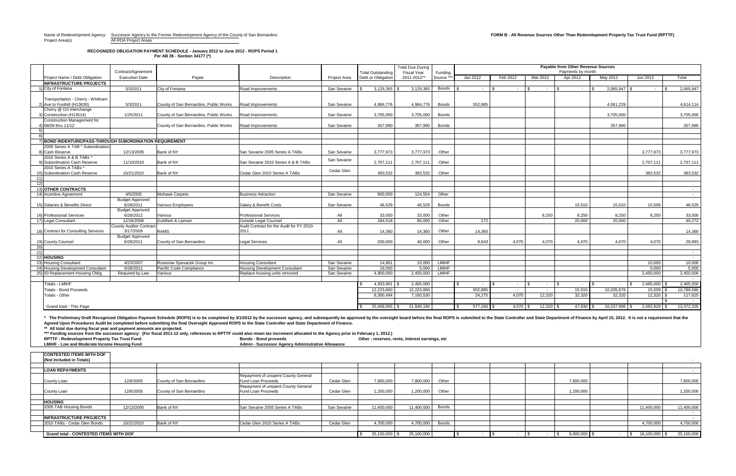Project Area(s) and All RDA Project Areas

### **RECOGNIZED OBLIGATION PAYMENT SCHEDULE - January 2012 to June 2012 - ROPS Period 1 Per AB 26 - Section 34177 (\*)**

**\*\*\* Funding sources from the successor agency: (For fiscal 2011-12 only, references to RPTTF could also mean tax increment allocated to the Agency prior to February 1, 2012.)** RPTTF - Redevelopment Property Tax Trust Fund **Bond Bonds - Bond proceeds Bonds - Bond proceeds** Other - reserves, rents, interest earnings, etc<br>Admin - Successor Agency Administrative Allowance Other - reserves, rents, **Admin - Successor Agency Administrative Allowance** 

|                                                                                              |                                |                                        |                                                                                                                                                                                                                                |              |                          | <b>Total Due During</b>  |              | <b>Payable from Other Revenue Sources</b> |          |            |                         |             |                 |                |            |
|----------------------------------------------------------------------------------------------|--------------------------------|----------------------------------------|--------------------------------------------------------------------------------------------------------------------------------------------------------------------------------------------------------------------------------|--------------|--------------------------|--------------------------|--------------|-------------------------------------------|----------|------------|-------------------------|-------------|-----------------|----------------|------------|
|                                                                                              | Contract/Agreement             |                                        |                                                                                                                                                                                                                                |              | <b>Total Outstanding</b> | <b>Fiscal Year</b>       | Funding      | Payments by month                         |          |            |                         |             |                 |                |            |
| Project Name / Debt Obligation                                                               | <b>Execution Date</b>          | Payee                                  | Description                                                                                                                                                                                                                    | Project Area | Debt or Obligation       | 2011-2012**              | Source *     | Jan 2012                                  | Feb 2012 | Mar 2012   |                         | Apr 2012    | May 2012        | Jun 2012       | Total      |
| <b>INFRASTRUCTURE PROJECTS</b>                                                               |                                |                                        |                                                                                                                                                                                                                                |              |                          |                          |              |                                           |          |            |                         |             |                 |                |            |
| 1) City of Fontana                                                                           | 5/3/2011                       | City of Fontana                        | <b>Road Improvements</b>                                                                                                                                                                                                       | San Sevaine  | 3,129,365                | 3,129,365                | <b>Bonds</b> | $\sim$                                    | $\sim$   |            | $\sim$ $-$              | $\sim$      | 2,065,947       |                | 2,065,947  |
|                                                                                              |                                |                                        |                                                                                                                                                                                                                                |              |                          |                          |              |                                           |          |            |                         |             |                 |                |            |
| Transportation - Cherry - Whittram                                                           |                                |                                        |                                                                                                                                                                                                                                |              |                          |                          |              |                                           |          |            |                         |             |                 |                |            |
| 2) Ave to Foothill (H13630)                                                                  | 5/3/2011                       | County of San Bernardino, Public Works | Road Improvements                                                                                                                                                                                                              | San Sevaine  | 4,984,776                | 4,984,776                | <b>Bonds</b> | 552,885                                   |          |            |                         |             | 4,061,229       |                | 4,614,114  |
| Cherry @ I10 Interchange                                                                     |                                |                                        |                                                                                                                                                                                                                                |              |                          |                          |              |                                           |          |            |                         |             |                 |                |            |
| 3) Construction (H13514)                                                                     | 1/25/2011                      | County of San Bernardino, Public Works | Road Improvements                                                                                                                                                                                                              | San Sevaine  | 3,705,000                | 3,705,000                | <b>Bonds</b> |                                           |          |            |                         |             | 3,705,000       |                | 3,705,000  |
| <b>Construction Management for</b>                                                           |                                |                                        |                                                                                                                                                                                                                                |              |                          |                          |              |                                           |          |            |                         |             |                 |                |            |
| 4) 08/09 thru 11/12                                                                          |                                | County of San Bernardino, Public Works | Road Improvements                                                                                                                                                                                                              | San Sevaine  | 357,990                  | 357,990                  | <b>Bonds</b> |                                           |          |            |                         |             | 357,990         |                | 357,990    |
|                                                                                              |                                |                                        |                                                                                                                                                                                                                                |              |                          |                          |              |                                           |          |            |                         |             |                 |                |            |
| 6)                                                                                           |                                |                                        |                                                                                                                                                                                                                                |              |                          |                          |              |                                           |          |            |                         |             |                 |                |            |
| ) BOND INDENTURE/PASS-THROUGH SUBORDINATION REQUIREMENT<br>2005 Series A TAB * Subordination |                                |                                        |                                                                                                                                                                                                                                |              |                          |                          |              |                                           |          |            |                         |             |                 |                |            |
| 8) Cash Reserve                                                                              |                                |                                        |                                                                                                                                                                                                                                |              |                          |                          | Other        |                                           |          |            |                         |             |                 |                |            |
|                                                                                              | 12/13/2005                     | <b>Bank of NY</b>                      | San Sevaine 2005 Series A TABs                                                                                                                                                                                                 | San Sevaine  | 3,777,973                | 3,777,973                |              |                                           |          |            |                         |             |                 | 3,777,973      | 3,777,973  |
| 2010 Series A & B TABs *<br>9) Subordination Cash Reserve                                    | 11/10/2010                     | <b>Bank of NY</b>                      | San Sevaine 2010 Series A & B TABs                                                                                                                                                                                             | San Sevaine  |                          | 2,707,111                |              |                                           |          |            |                         |             |                 |                |            |
| 2010 Series A TABs *                                                                         |                                |                                        |                                                                                                                                                                                                                                |              | 2,707,111                |                          | Other        |                                           |          |            |                         |             |                 | 2,707,111      | 2,707,111  |
| 10) Subordination Cash Reserve                                                               | 10/21/2010                     | <b>Bank of NY</b>                      | Cedar Glen 2010 Series A TABs                                                                                                                                                                                                  | Cedar Glen   | 383,532                  | 383,532                  | Other        |                                           |          |            |                         |             |                 | 383,532        | 383,532    |
|                                                                                              |                                |                                        |                                                                                                                                                                                                                                |              |                          |                          |              |                                           |          |            |                         |             |                 |                |            |
| 12)                                                                                          |                                |                                        |                                                                                                                                                                                                                                |              |                          |                          |              |                                           |          |            |                         |             |                 |                |            |
| 13) OTHER CONTRACTS                                                                          |                                |                                        |                                                                                                                                                                                                                                |              |                          |                          |              |                                           |          |            |                         |             |                 |                |            |
| 14) Incentive Agreement                                                                      | 4/5/2005                       | <b>Mohawk Carpets</b>                  | <b>Business Attraction</b>                                                                                                                                                                                                     | San Sevaine  | 900,000                  | 124,554                  | Other        |                                           |          |            |                         |             |                 |                |            |
|                                                                                              | <b>Budget Approved</b>         |                                        |                                                                                                                                                                                                                                |              |                          |                          |              |                                           |          |            |                         |             |                 |                | $\sim$     |
| 15) Salaries & Benefits Direct                                                               | 6/28/2011                      | Various Employees                      | <b>Salary &amp; Benefit Costs</b>                                                                                                                                                                                              | San Sevaine  | 46,529                   | 46,529                   | <b>Bonds</b> |                                           |          |            |                         | 15,510      | 15,510          | 15,509         | 46,529     |
|                                                                                              | <b>Budget Approved</b>         |                                        |                                                                                                                                                                                                                                |              |                          |                          |              |                                           |          |            |                         |             |                 |                |            |
| 16) Professional Services                                                                    | 6/28/2012                      | Various                                | <b>Professional Services</b>                                                                                                                                                                                                   | All          | 33,000                   | 33,000                   | Other        |                                           |          |            | 8,250                   | 8,250       | 8,250           | 8,250          | 33,000     |
| 17) Legal Consultant                                                                         | 12/16/2008                     | Goldfarb & Lipman                      | Outside Legal Counsel                                                                                                                                                                                                          | All          | 284,518                  | 80,000                   | Other        | 272                                       |          |            |                         | 20,000      | 20,000          |                | 40,272     |
|                                                                                              | <b>County Auditor Contract</b> |                                        | Audit Contract for the Audit for FY 2010-                                                                                                                                                                                      |              |                          |                          |              |                                           |          |            |                         |             |                 |                |            |
| 18) Contract for Consulting Services                                                         | 3/17/2009                      | <b>RAMS</b>                            | 2011                                                                                                                                                                                                                           | All          | 14,360                   | 14,360                   | Other        | 14,360                                    |          |            |                         |             |                 |                | 14,360     |
|                                                                                              | <b>Budget Approved</b>         |                                        |                                                                                                                                                                                                                                |              |                          |                          |              |                                           |          |            |                         |             |                 |                |            |
| 19) County Counsel                                                                           | 6/28/2011                      | County of San Bernardino               | <b>Legal Services</b>                                                                                                                                                                                                          | All          | 200,000                  | 40,000                   | Other        | 9,643                                     | 4,070    |            | 4,070                   | 4,070       | 4,070           | 4,070          | 29,993     |
| 20)                                                                                          |                                |                                        |                                                                                                                                                                                                                                |              |                          |                          |              |                                           |          |            |                         |             |                 |                |            |
| $^{21)}$                                                                                     |                                |                                        |                                                                                                                                                                                                                                |              |                          |                          |              |                                           |          |            |                         |             |                 |                |            |
| 22) HOUSING                                                                                  |                                |                                        |                                                                                                                                                                                                                                |              |                          |                          |              |                                           |          |            |                         |             |                 |                | $\sim$     |
| 23) Housing Consultant                                                                       | 4/23/2007                      | Rosenow Spevacek Group Inc             | <b>Housing Consultant</b>                                                                                                                                                                                                      | San Sevaine  | 14,901                   | 10,000                   | <b>LMIHF</b> |                                           |          |            |                         |             |                 | 10,000         | 10,000     |
| 24) Housing Development Consultant                                                           | 6/28/2011                      | Pacific Code Compliance                | <b>Housing Development Consultant</b>                                                                                                                                                                                          | San Sevaine  | 19,000                   | 5,000                    | <b>LMIHF</b> |                                           |          |            |                         |             |                 | 5,000          | 5,000      |
| 25) 50 Replacement Housing Oblig                                                             | Required by Law                | Various                                | Replace housing units removed                                                                                                                                                                                                  | San Sevaine  | 4,900,000                | 2,450,000                | <b>LMIHF</b> |                                           |          |            |                         |             |                 | 2,450,000      | 2,450,000  |
|                                                                                              |                                |                                        |                                                                                                                                                                                                                                |              |                          |                          |              |                                           |          |            |                         |             |                 |                | $\sim$ $-$ |
| Totals - LMIHF                                                                               |                                |                                        |                                                                                                                                                                                                                                |              | 4,933,901                | 2,465,000                |              | $\sim$                                    | $\sim$   |            | $\sim 100$ km s $^{-1}$ | $\sim$ $-$  | <b>Service</b>  | 2,465,000      | 2,465,000  |
| <b>Totals - Bond Proceeds</b>                                                                |                                |                                        |                                                                                                                                                                                                                                |              | 12,223,660               | 12,223,660               |              | 552,885                                   |          |            |                         | 15,510      | 10,205,676      | $15,509$ \$    | 10,789,580 |
| Totals - Other                                                                               |                                |                                        |                                                                                                                                                                                                                                |              | 8,300,494                | 7,160,530                |              | 24,275                                    | 4,070    | 12,320     |                         | 32,320      | 32,320          | 12,320         | 117,625    |
|                                                                                              |                                |                                        |                                                                                                                                                                                                                                |              |                          |                          |              |                                           |          |            |                         |             |                 |                | $\sim$ $-$ |
| <b>Grand total - This Page</b>                                                               |                                |                                        |                                                                                                                                                                                                                                |              |                          | 25,458,055 \$ 21,849,190 |              | $577,160$ \$                              |          | $4,070$ \$ | $12,320$ \$             | $47,830$ \$ | $10,237,996$ \$ | $2,492,829$ \$ | 13,372,205 |
|                                                                                              |                                |                                        |                                                                                                                                                                                                                                |              |                          |                          |              |                                           |          |            |                         |             |                 |                |            |
|                                                                                              |                                |                                        |                                                                                                                                                                                                                                |              |                          |                          |              |                                           |          |            |                         |             |                 |                |            |
|                                                                                              |                                |                                        | The Preliminary Draft Recognized Obligation Payment Schedule (ROPS) is to be completed by 3/1/2012 by the successor agency, and subsequently be approved by the oversight board before the final ROPS is submitted to the Stat |              |                          |                          |              |                                           |          |            |                         |             |                 |                |            |
|                                                                                              |                                |                                        | Agreed Upon Procedures Audit be completed before submitting the final Oversight Approved ROPS to the State Controller and State Department of Finance.                                                                         |              |                          |                          |              |                                           |          |            |                         |             |                 |                |            |

**\*\* All total due during fiscal year and payment amounts are projected.** 

|                                        | <b>CONTESTED ITEMS WITH DOF</b> |            |                          |                                     |               |            |            |                |               |            |            |
|----------------------------------------|---------------------------------|------------|--------------------------|-------------------------------------|---------------|------------|------------|----------------|---------------|------------|------------|
|                                        | (Not Included in Totals)        |            |                          |                                     |               |            |            |                |               |            |            |
|                                        |                                 |            |                          |                                     |               |            |            |                |               |            |            |
|                                        | <b>LOAN REPAYMENTS</b>          |            |                          |                                     |               |            |            |                |               |            |            |
|                                        |                                 |            |                          | Repayment of unspent County General |               |            |            |                |               |            |            |
|                                        | County Loan                     | 12/6/2005  | County of San Bernardino | <b>Fund Loan Proceeds</b>           | Cedar Glen    | 7,800,000  | 7,800,000  | Other          | 7,800,000     |            | 7,800,000  |
|                                        |                                 |            |                          | Repayment of unspent County General |               |            |            |                |               |            |            |
|                                        | County Loan                     | 12/6/2005  | County of San Bernardino | Fund Loan Proceeds                  | Cedar Glen    | 1,200,000  | 1,200,000  | Other          | 1,200,000     |            | 1,200,000  |
|                                        |                                 |            |                          |                                     |               |            |            |                |               |            |            |
|                                        | <b>HOUSING</b>                  |            |                          |                                     |               |            |            |                |               |            |            |
|                                        | 2005 TAB Housing Bonds          | 12/13/2005 | Bank of NY               | San Sevaine 2005 Series A TABs      | San Sevaine   | 11,400,000 | 11,400,000 | <b>Bonds</b>   |               | 11,400,000 | 11,400,000 |
|                                        |                                 |            |                          |                                     |               |            |            |                |               |            |            |
|                                        | <b>INFRASTRUCTURE PROJECTS</b>  |            |                          |                                     |               |            |            |                |               |            |            |
|                                        | 2010 TABs - Cedar Glen Bonds    | 10/21/2010 | Bank of NY               | Cedar Glen 2010 Series A TABs       | Cedar Glen    | 4,700,000  | 4,700,000  | <b>Bonds</b>   |               | 4,700,000  | 4,700,000  |
|                                        |                                 |            |                          |                                     |               |            |            |                |               |            |            |
| Grand total - CONTESTED ITEMS WITH DOF |                                 |            |                          |                                     | 25,100,000 \$ | 25,100,000 |            | $9,000,000$ \$ | 16,100,000 \$ | 25,100,000 |            |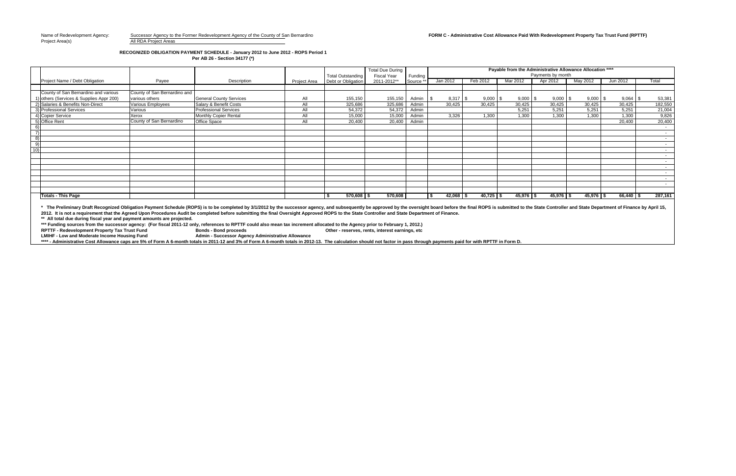### **RECOGNIZED OBLIGATION PAYMENT SCHEDULE - January 2012 to June 2012 - ROPS Period 1 Per AB 26 - Section 34177 (\*)**

**\*\* All total due during fiscal year and payment amounts are projected.**  \* The Preliminary Draft Recognized Obligation Payment Schedule (ROPS) is to be completed by 3/1/2012 by the successor agency, and subsequently be approved by the oversight board before the final ROPS is submitted to the St 2012. It is not a requirement that the Agreed Upon Procedures Audit be completed before submitting the final Oversight Approved ROPS to the State Controller and State Department of Finance.

**\*\*\* Funding sources from the successor agency: (For fiscal 2011-12 only, references to RPTTF could also mean tax increment allocated to the Agency prior to February 1, 2012.) RPTTF - Redevelopment Property Tax Trust Fund LABON Bonds - Bonds Fund** 

**Admin - Successor Agency Administrative Allowance** 

\*\*\*\* - Administrative Cost Allowance caps are 5% of Form A 6-month totals in 2011-12 and 3% of Form A 6-month totals in 2012-13. The calculation should not factor in pass through payments paid for with RPTTF in Form D.

# Name of Redevelopment Agency: Successor Agency to the Former Redevelopment Agency of the County of San Bernardino **FORM C - Administrative Cost Allowance Paid With Redevelopment Property Tax Trust Fund (RPTTF)**

|                |                                          |                              |                                |     | <b>Total Outstanding</b>          | <b>Total Due During</b><br><b>Fiscal Year</b> | Funding             | Payable from the Administrative Allowance Allocation ****<br>Payments by month |             |             |             |                       |             |                  |
|----------------|------------------------------------------|------------------------------|--------------------------------|-----|-----------------------------------|-----------------------------------------------|---------------------|--------------------------------------------------------------------------------|-------------|-------------|-------------|-----------------------|-------------|------------------|
|                | Project Name / Debt Obligation           | Payee                        | Description                    |     | Project Area   Debt or Obligation | 2011-2012**                                   | Source <sup>'</sup> | Jan 2012                                                                       | Feb 2012    | Mar 2012    | Apr 2012    | May 2012              | Jun 2012    | Total            |
|                |                                          |                              |                                |     |                                   |                                               |                     |                                                                                |             |             |             |                       |             |                  |
|                | County of San Bernardino and various     | County of San Bernardino and |                                |     |                                   |                                               |                     |                                                                                |             |             |             |                       |             |                  |
|                | 1) others (Services & Supplies Appr 200) | various others               | <b>General County Services</b> | All | 155,150                           | 155,150                                       | Admin               | I \$                                                                           | $9,000$ \$  | $9,000$ \$  | $9,000$ \$  | $9,000$ $\frac{1}{3}$ | $9,064$ \$  | 53,381           |
|                | 2) Salaries & Benefits Non-Direct        | <b>Various Employees</b>     | Salary & Benefit Costs         | All | 325,686                           | 325,686                                       | Admin               | 30,425                                                                         | 30,425      | 30,425      | 30,425      | 30,425                | 30,425      | 182,550          |
|                | 3) Professional Services                 | Various                      | <b>Professional Services</b>   | All | 54,372                            | 54,372                                        | Admin               |                                                                                |             | 5,251       | 5,251       | 5,251                 | 5,251       | 21,004           |
|                | 4) Copier Service                        | Xerox                        | Monthly Copier Rental          | All | 15,000                            | 15,000                                        | Admin               | 3,326                                                                          | 1,300       | 1,300       | 1,300       | 1,300                 | 1,300       | 9,826            |
|                | 5) Office Rent                           | County of San Bernardino     | <b>Office Space</b>            | All | 20,400                            | 20,400                                        | Admin               |                                                                                |             |             |             |                       | 20,400      | 20,400           |
|                |                                          |                              |                                |     |                                   |                                               |                     |                                                                                |             |             |             |                       |             | $\sim$           |
| $\overline{z}$ |                                          |                              |                                |     |                                   |                                               |                     |                                                                                |             |             |             |                       |             | $\sim$ 100 $\mu$ |
| 8)             |                                          |                              |                                |     |                                   |                                               |                     |                                                                                |             |             |             |                       |             | $\sim$ 100 $\mu$ |
| 9)             |                                          |                              |                                |     |                                   |                                               |                     |                                                                                |             |             |             |                       |             | $\sim$ 100 $\mu$ |
| (10)           |                                          |                              |                                |     |                                   |                                               |                     |                                                                                |             |             |             |                       |             | $\sim$           |
|                |                                          |                              |                                |     |                                   |                                               |                     |                                                                                |             |             |             |                       |             | $\sim$ 100 $\mu$ |
|                |                                          |                              |                                |     |                                   |                                               |                     |                                                                                |             |             |             |                       |             | $\sim$ $\sim$    |
|                |                                          |                              |                                |     |                                   |                                               |                     |                                                                                |             |             |             |                       |             | $\sim$ 100 $\mu$ |
|                |                                          |                              |                                |     |                                   |                                               |                     |                                                                                |             |             |             |                       |             | <b>Contract</b>  |
|                |                                          |                              |                                |     |                                   |                                               |                     |                                                                                |             |             |             |                       |             | $\sim$ 100 $\mu$ |
|                |                                          |                              |                                |     |                                   |                                               |                     |                                                                                |             |             |             |                       |             | $\sim 100$       |
|                |                                          |                              |                                |     |                                   |                                               |                     |                                                                                |             |             |             |                       |             |                  |
|                | <b>Totals - This Page</b>                |                              |                                |     | $570,608$ \$                      | 570,608                                       |                     | $42,068$ \$                                                                    | $40,725$ \$ | $45,976$ \$ | $45,976$ \$ | $45,976$ \$           | $66,440$ \$ | 287,161          |